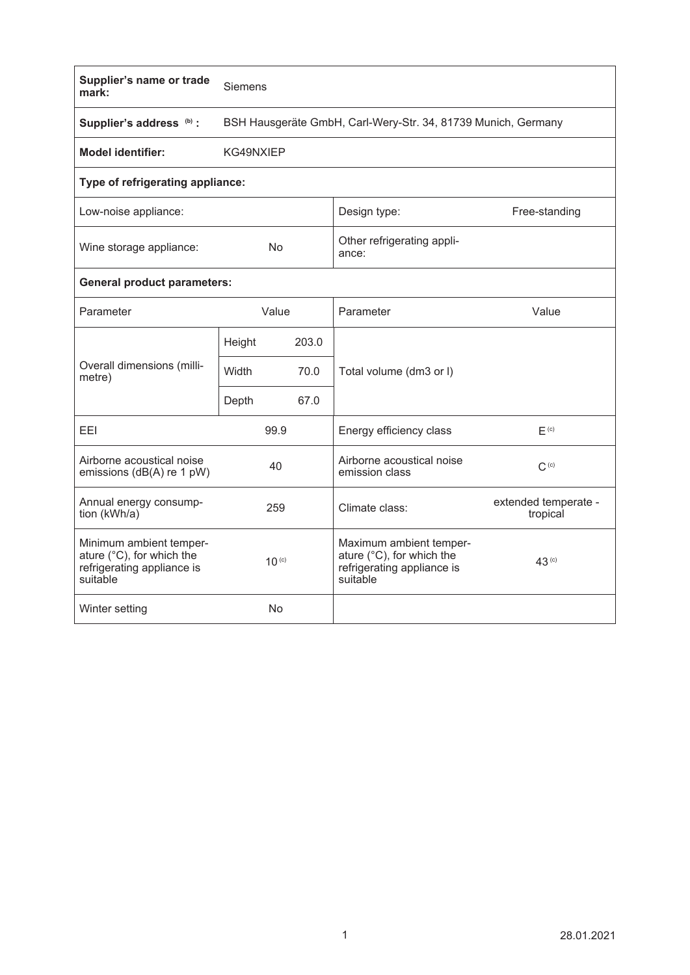| Supplier's name or trade<br>mark:                                                              | Siemens                                                       |       |                                                                                                |                                  |  |  |  |  |  |
|------------------------------------------------------------------------------------------------|---------------------------------------------------------------|-------|------------------------------------------------------------------------------------------------|----------------------------------|--|--|--|--|--|
| Supplier's address (b) :                                                                       | BSH Hausgeräte GmbH, Carl-Wery-Str. 34, 81739 Munich, Germany |       |                                                                                                |                                  |  |  |  |  |  |
| <b>Model identifier:</b>                                                                       | KG49NXIEP                                                     |       |                                                                                                |                                  |  |  |  |  |  |
| Type of refrigerating appliance:                                                               |                                                               |       |                                                                                                |                                  |  |  |  |  |  |
| Low-noise appliance:                                                                           |                                                               |       | Design type:                                                                                   | Free-standing                    |  |  |  |  |  |
| Wine storage appliance:                                                                        | <b>No</b>                                                     |       | Other refrigerating appli-<br>ance:                                                            |                                  |  |  |  |  |  |
| <b>General product parameters:</b>                                                             |                                                               |       |                                                                                                |                                  |  |  |  |  |  |
| Parameter                                                                                      | Value                                                         |       | Parameter                                                                                      | Value                            |  |  |  |  |  |
| Overall dimensions (milli-<br>metre)                                                           | Height                                                        | 203.0 |                                                                                                |                                  |  |  |  |  |  |
|                                                                                                | Width<br>70.0                                                 |       | Total volume (dm3 or I)                                                                        |                                  |  |  |  |  |  |
|                                                                                                | Depth                                                         | 67.0  |                                                                                                |                                  |  |  |  |  |  |
| EEI                                                                                            | 99.9                                                          |       | Energy efficiency class                                                                        | F <sub>(c)</sub>                 |  |  |  |  |  |
| Airborne acoustical noise<br>emissions (dB(A) re 1 pW)                                         | 40                                                            |       | Airborne acoustical noise<br>emission class                                                    | $C^{(c)}$                        |  |  |  |  |  |
| Annual energy consump-<br>tion (kWh/a)                                                         | 259                                                           |       | Climate class:                                                                                 | extended temperate -<br>tropical |  |  |  |  |  |
| Minimum ambient temper-<br>ature (°C), for which the<br>refrigerating appliance is<br>suitable | $10^{(c)}$                                                    |       | Maximum ambient temper-<br>ature (°C), for which the<br>refrigerating appliance is<br>suitable | 43 <sup>(c)</sup>                |  |  |  |  |  |
| Winter setting                                                                                 | <b>No</b>                                                     |       |                                                                                                |                                  |  |  |  |  |  |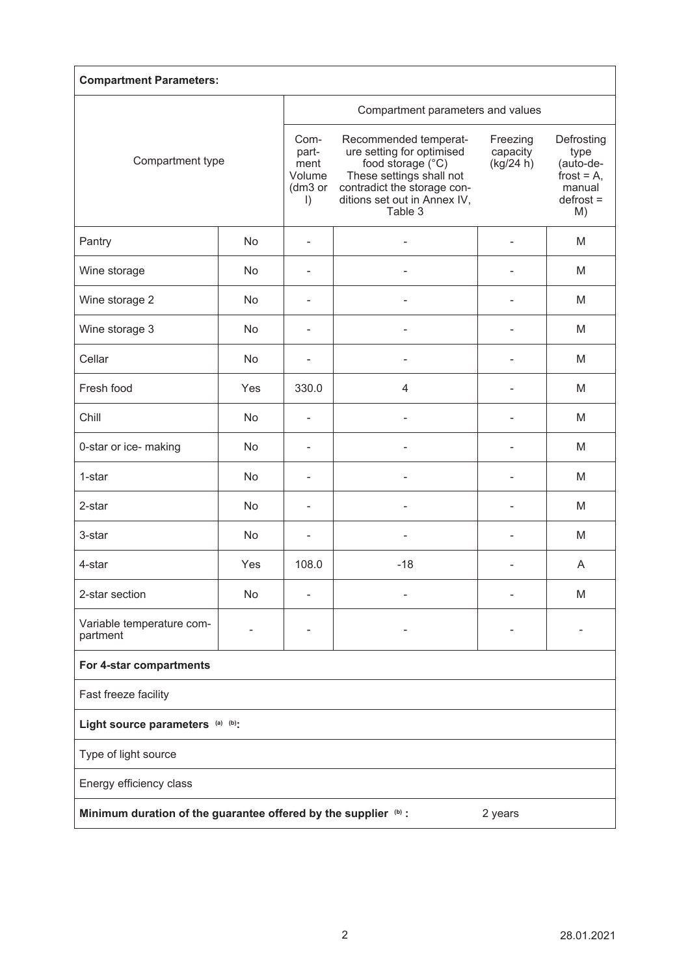| <b>Compartment Parameters:</b>                                             |     |                                                         |                                                                                                                                                                               |                                   |                                                                                 |  |  |  |
|----------------------------------------------------------------------------|-----|---------------------------------------------------------|-------------------------------------------------------------------------------------------------------------------------------------------------------------------------------|-----------------------------------|---------------------------------------------------------------------------------|--|--|--|
| Compartment type                                                           |     | Compartment parameters and values                       |                                                                                                                                                                               |                                   |                                                                                 |  |  |  |
|                                                                            |     | Com-<br>part-<br>ment<br>Volume<br>(dm3 or<br>$\vert$ ) | Recommended temperat-<br>ure setting for optimised<br>food storage (°C)<br>These settings shall not<br>contradict the storage con-<br>ditions set out in Annex IV,<br>Table 3 | Freezing<br>capacity<br>(kg/24 h) | Defrosting<br>type<br>(auto-de-<br>frost = $A$ ,<br>manual<br>$defrost =$<br>M) |  |  |  |
| Pantry                                                                     | No  | ٠                                                       |                                                                                                                                                                               |                                   | М                                                                               |  |  |  |
| Wine storage                                                               | No  |                                                         |                                                                                                                                                                               |                                   | M                                                                               |  |  |  |
| Wine storage 2                                                             | No  |                                                         |                                                                                                                                                                               |                                   | M                                                                               |  |  |  |
| Wine storage 3                                                             | No  | ٠                                                       |                                                                                                                                                                               |                                   | M                                                                               |  |  |  |
| Cellar                                                                     | No  | ۰                                                       |                                                                                                                                                                               |                                   | M                                                                               |  |  |  |
| Fresh food                                                                 | Yes | 330.0                                                   | 4                                                                                                                                                                             | ۳                                 | M                                                                               |  |  |  |
| Chill                                                                      | No  | $\blacksquare$                                          |                                                                                                                                                                               | $\overline{\phantom{0}}$          | M                                                                               |  |  |  |
| 0-star or ice- making                                                      | No  | $\blacksquare$                                          |                                                                                                                                                                               |                                   | M                                                                               |  |  |  |
| 1-star                                                                     | No  |                                                         |                                                                                                                                                                               |                                   | M                                                                               |  |  |  |
| 2-star                                                                     | No  |                                                         |                                                                                                                                                                               |                                   | M                                                                               |  |  |  |
| 3-star                                                                     | No  |                                                         |                                                                                                                                                                               |                                   | M                                                                               |  |  |  |
| 4-star                                                                     | Yes | 108.0                                                   | $-18$                                                                                                                                                                         |                                   | A                                                                               |  |  |  |
| 2-star section                                                             | No  |                                                         |                                                                                                                                                                               |                                   | M                                                                               |  |  |  |
| Variable temperature com-<br>partment                                      |     |                                                         |                                                                                                                                                                               |                                   |                                                                                 |  |  |  |
| For 4-star compartments                                                    |     |                                                         |                                                                                                                                                                               |                                   |                                                                                 |  |  |  |
| Fast freeze facility                                                       |     |                                                         |                                                                                                                                                                               |                                   |                                                                                 |  |  |  |
| Light source parameters (a) (b):                                           |     |                                                         |                                                                                                                                                                               |                                   |                                                                                 |  |  |  |
| Type of light source                                                       |     |                                                         |                                                                                                                                                                               |                                   |                                                                                 |  |  |  |
| Energy efficiency class                                                    |     |                                                         |                                                                                                                                                                               |                                   |                                                                                 |  |  |  |
| Minimum duration of the guarantee offered by the supplier (b) :<br>2 years |     |                                                         |                                                                                                                                                                               |                                   |                                                                                 |  |  |  |